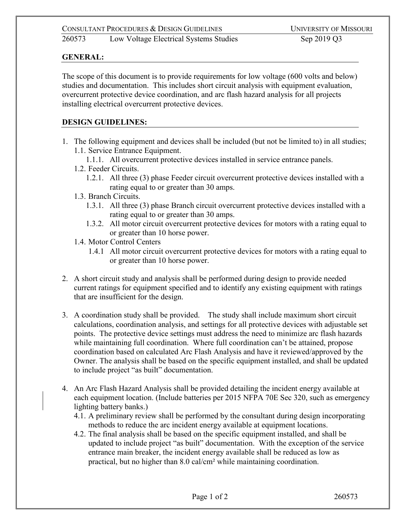260573 Low Voltage Electrical Systems Studies Sep 2019 Q3

### **GENERAL:**

The scope of this document is to provide requirements for low voltage (600 volts and below) studies and documentation. This includes short circuit analysis with equipment evaluation, overcurrent protective device coordination, and arc flash hazard analysis for all projects installing electrical overcurrent protective devices.

### **DESIGN GUIDELINES:**

- 1. The following equipment and devices shall be included (but not be limited to) in all studies; 1.1. Service Entrance Equipment.
	- 1.1.1. All overcurrent protective devices installed in service entrance panels.
	- 1.2. Feeder Circuits.
		- 1.2.1. All three (3) phase Feeder circuit overcurrent protective devices installed with a rating equal to or greater than 30 amps.
	- 1.3. Branch Circuits.
		- 1.3.1. All three (3) phase Branch circuit overcurrent protective devices installed with a rating equal to or greater than 30 amps.
		- 1.3.2. All motor circuit overcurrent protective devices for motors with a rating equal to or greater than 10 horse power.
	- 1.4. Motor Control Centers
		- 1.4.1 All motor circuit overcurrent protective devices for motors with a rating equal to or greater than 10 horse power.
- 2. A short circuit study and analysis shall be performed during design to provide needed current ratings for equipment specified and to identify any existing equipment with ratings that are insufficient for the design.
- 3. A coordination study shall be provided. The study shall include maximum short circuit calculations, coordination analysis, and settings for all protective devices with adjustable set points. The protective device settings must address the need to minimize arc flash hazards while maintaining full coordination. Where full coordination can't be attained, propose coordination based on calculated Arc Flash Analysis and have it reviewed/approved by the Owner. The analysis shall be based on the specific equipment installed, and shall be updated to include project "as built" documentation.
- 4. An Arc Flash Hazard Analysis shall be provided detailing the incident energy available at each equipment location. (Include batteries per 2015 NFPA 70E Sec 320, such as emergency lighting battery banks.)
	- 4.1. A preliminary review shall be performed by the consultant during design incorporating methods to reduce the arc incident energy available at equipment locations.
	- 4.2. The final analysis shall be based on the specific equipment installed, and shall be updated to include project "as built" documentation. With the exception of the service entrance main breaker, the incident energy available shall be reduced as low as practical, but no higher than 8.0 cal/cm² while maintaining coordination.